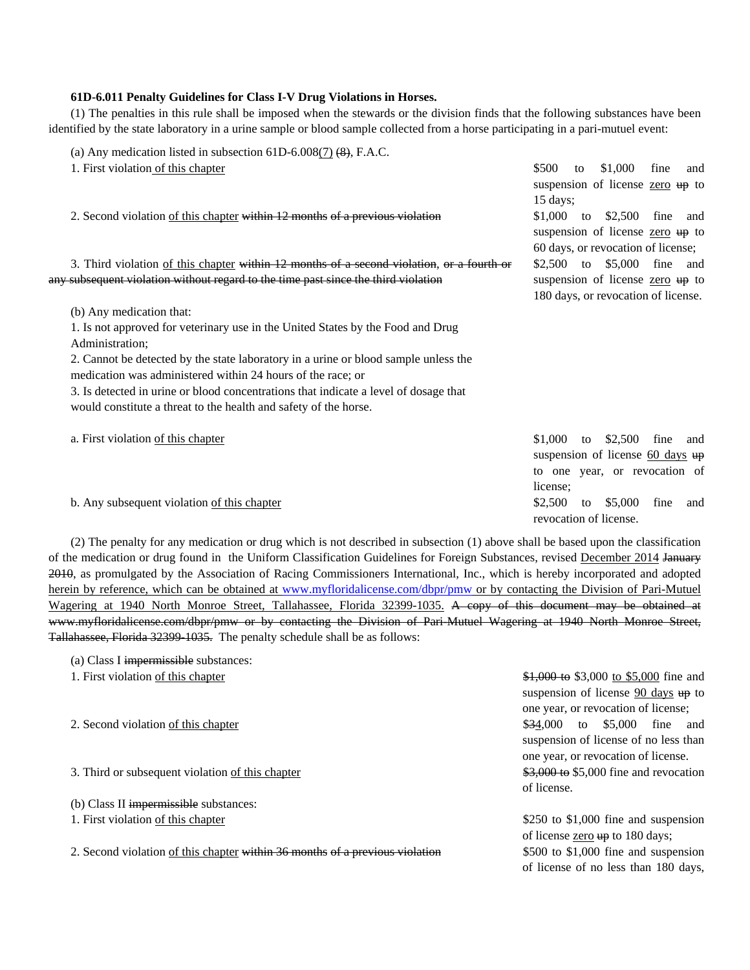## **61D-6.011 Penalty Guidelines for Class I-V Drug Violations in Horses.**

(1) The penalties in this rule shall be imposed when the stewards or the division finds that the following substances have been identified by the state laboratory in a urine sample or blood sample collected from a horse participating in a pari-mutuel event:

| (a) Any medication listed in subsection $61D-6.008(7)$ (8), F.A.C.                        |                     |    |                                            |      |     |
|-------------------------------------------------------------------------------------------|---------------------|----|--------------------------------------------|------|-----|
| 1. First violation of this chapter                                                        | \$500               | to | \$1,000                                    | fine | and |
|                                                                                           |                     |    | suspension of license zero up to           |      |     |
|                                                                                           | $15 \text{ days}$ ; |    |                                            |      |     |
| 2. Second violation of this chapter within 12 months of a previous violation              |                     |    | \$1,000 to \$2,500                         | fine | and |
|                                                                                           |                     |    | suspension of license zero up to           |      |     |
|                                                                                           |                     |    | 60 days, or revocation of license;         |      |     |
| 3. Third violation of this chapter within 12 months of a second violation, or a fourth or |                     |    | \$2,500 to \$5,000 fine                    |      | and |
| any subsequent violation without regard to the time past since the third violation        |                     |    | suspension of license zero up to           |      |     |
|                                                                                           |                     |    | 180 days, or revocation of license.        |      |     |
| (b) Any medication that:                                                                  |                     |    |                                            |      |     |
| 1. Is not approved for veterinary use in the United States by the Food and Drug           |                     |    |                                            |      |     |
| Administration;                                                                           |                     |    |                                            |      |     |
| 2. Cannot be detected by the state laboratory in a urine or blood sample unless the       |                     |    |                                            |      |     |
| medication was administered within 24 hours of the race; or                               |                     |    |                                            |      |     |
| 3. Is detected in urine or blood concentrations that indicate a level of dosage that      |                     |    |                                            |      |     |
| would constitute a threat to the health and safety of the horse.                          |                     |    |                                            |      |     |
|                                                                                           | \$1,000             |    | \$2,500                                    | fine |     |
| a. First violation of this chapter                                                        |                     | to | suspension of license $60 \text{ days}$ up |      | and |
|                                                                                           |                     |    | to one year, or revocation of              |      |     |
|                                                                                           | license:            |    |                                            |      |     |
| b. Any subsequent violation of this chapter                                               | \$2,500             | to | \$5,000                                    | fine | and |
|                                                                                           |                     |    | revocation of license.                     |      |     |
|                                                                                           |                     |    |                                            |      |     |

(2) The penalty for any medication or drug which is not described in subsection (1) above shall be based upon the classification of the medication or drug found in the Uniform Classification Guidelines for Foreign Substances, revised December 2014 January 2010, as promulgated by the Association of Racing Commissioners International, Inc., which is hereby incorporated and adopted herein by reference, which can be obtained at www.myfloridalicense.com/dbpr/pmw or by contacting the Division of Pari-Mutuel Wagering at 1940 North Monroe Street, Tallahassee, Florida 32399-1035. A copy of this document may be obtained at www.myfloridalicense.com/dbpr/pmw or by contacting the Division of Pari-Mutuel Wagering at 1940 North Monroe Street, Tallahassee, Florida 32399-1035. The penalty schedule shall be as follows:

- (a) Class I impermissible substances:
- 
- 

3. Third or subsequent violation <u>of this chapter</u>  $\frac{$3,000}{0}$   $\frac{$3,000}{0}$  fine and revocation

(b) Class II impermissible substances:

2. Second violation of this chapter within 36 months of a previous violation \$500 to \$1,000 fine and suspension

1. First violation of this chapter  $\frac{1,000}{1,000}$  to \$5,000 to \$5,000 fine and suspension of license  $90 \text{ days}$  up to one year, or revocation of license; 2. Second violation of this chapter the state of the state of the state of the state of the state of the state of the state of the state of the state of the state of the state of the state of the state of the state of the suspension of license of no less than one year, or revocation of license. of license.

1. First violation of this chapter  $$250$  to \$1,000 fine and suspension of license  $\frac{\text{zero}}{4}$  to 180 days; of license of no less than 180 days,